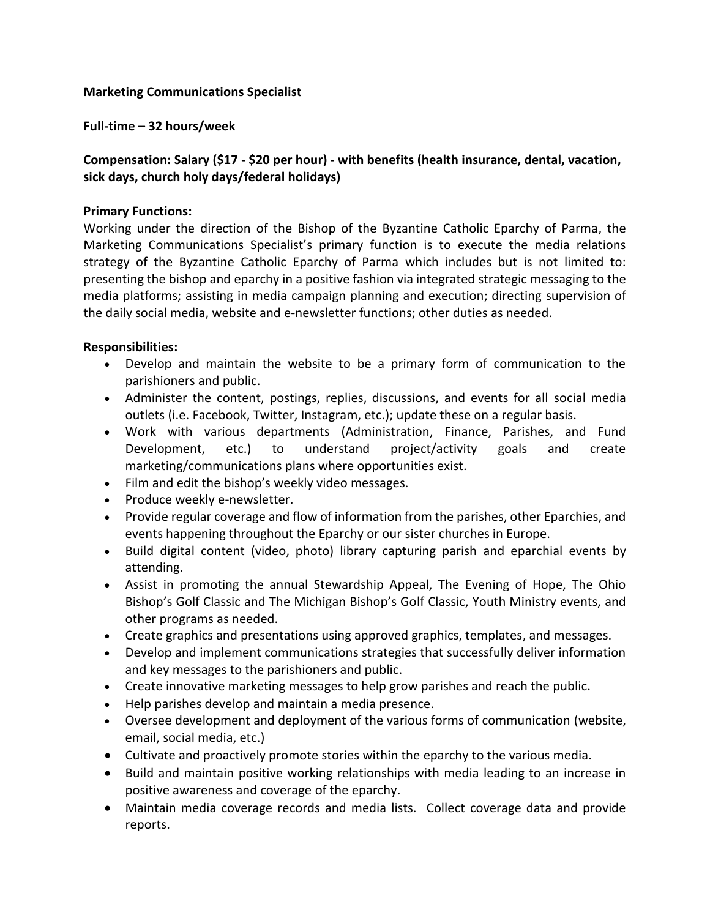### **Marketing Communications Specialist**

**Full-time – 32 hours/week** 

# **Compensation: Salary (\$17 - \$20 per hour) - with benefits (health insurance, dental, vacation, sick days, church holy days/federal holidays)**

#### **Primary Functions:**

Working under the direction of the Bishop of the Byzantine Catholic Eparchy of Parma, the Marketing Communications Specialist's primary function is to execute the media relations strategy of the Byzantine Catholic Eparchy of Parma which includes but is not limited to: presenting the bishop and eparchy in a positive fashion via integrated strategic messaging to the media platforms; assisting in media campaign planning and execution; directing supervision of the daily social media, website and e-newsletter functions; other duties as needed.

#### **Responsibilities:**

- Develop and maintain the website to be a primary form of communication to the parishioners and public.
- Administer the content, postings, replies, discussions, and events for all social media outlets (i.e. Facebook, Twitter, Instagram, etc.); update these on a regular basis.
- Work with various departments (Administration, Finance, Parishes, and Fund Development, etc.) to understand project/activity goals and create marketing/communications plans where opportunities exist.
- Film and edit the bishop's weekly video messages.
- Produce weekly e-newsletter.
- Provide regular coverage and flow of information from the parishes, other Eparchies, and events happening throughout the Eparchy or our sister churches in Europe.
- Build digital content (video, photo) library capturing parish and eparchial events by attending.
- Assist in promoting the annual Stewardship Appeal, The Evening of Hope, The Ohio Bishop's Golf Classic and The Michigan Bishop's Golf Classic, Youth Ministry events, and other programs as needed.
- Create graphics and presentations using approved graphics, templates, and messages.
- Develop and implement communications strategies that successfully deliver information and key messages to the parishioners and public.
- Create innovative marketing messages to help grow parishes and reach the public.
- Help parishes develop and maintain a media presence.
- Oversee development and deployment of the various forms of communication (website, email, social media, etc.)
- Cultivate and proactively promote stories within the eparchy to the various media.
- Build and maintain positive working relationships with media leading to an increase in positive awareness and coverage of the eparchy.
- Maintain media coverage records and media lists. Collect coverage data and provide reports.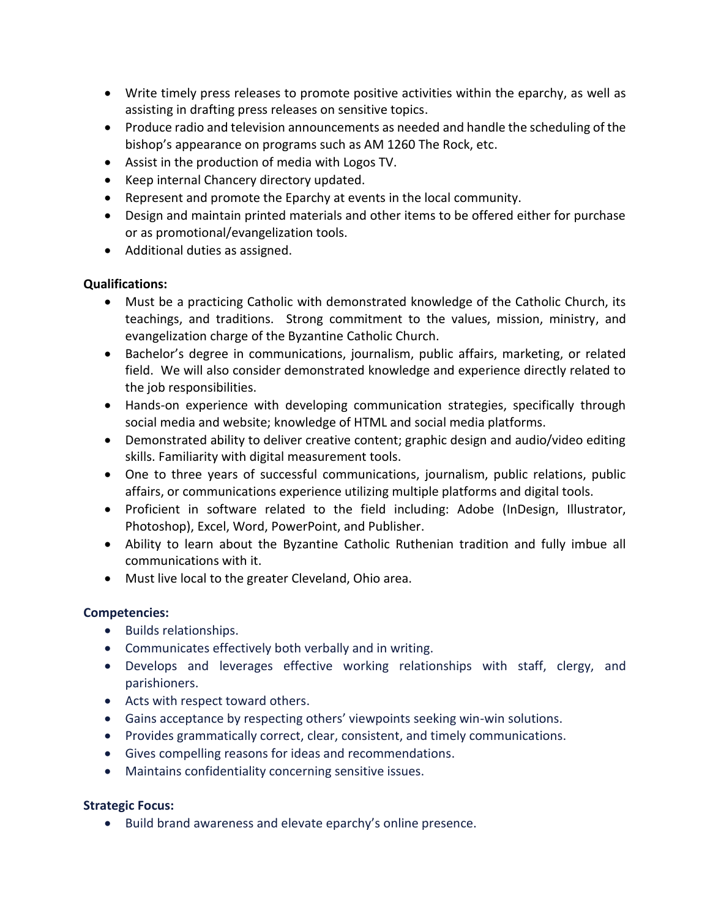- Write timely press releases to promote positive activities within the eparchy, as well as assisting in drafting press releases on sensitive topics.
- Produce radio and television announcements as needed and handle the scheduling of the bishop's appearance on programs such as AM 1260 The Rock, etc.
- Assist in the production of media with Logos TV.
- Keep internal Chancery directory updated.
- Represent and promote the Eparchy at events in the local community.
- Design and maintain printed materials and other items to be offered either for purchase or as promotional/evangelization tools.
- Additional duties as assigned.

#### **Qualifications:**

- Must be a practicing Catholic with demonstrated knowledge of the Catholic Church, its teachings, and traditions. Strong commitment to the values, mission, ministry, and evangelization charge of the Byzantine Catholic Church.
- Bachelor's degree in communications, journalism, public affairs, marketing, or related field. We will also consider demonstrated knowledge and experience directly related to the job responsibilities.
- Hands-on experience with developing communication strategies, specifically through social media and website; knowledge of HTML and social media platforms.
- Demonstrated ability to deliver creative content; graphic design and audio/video editing skills. Familiarity with digital measurement tools.
- One to three years of successful communications, journalism, public relations, public affairs, or communications experience utilizing multiple platforms and digital tools.
- Proficient in software related to the field including: Adobe (InDesign, Illustrator, Photoshop), Excel, Word, PowerPoint, and Publisher.
- Ability to learn about the Byzantine Catholic Ruthenian tradition and fully imbue all communications with it.
- Must live local to the greater Cleveland, Ohio area.

## **Competencies:**

- **•** Builds relationships.
- Communicates effectively both verbally and in writing.
- Develops and leverages effective working relationships with staff, clergy, and parishioners.
- Acts with respect toward others.
- Gains acceptance by respecting others' viewpoints seeking win-win solutions.
- Provides grammatically correct, clear, consistent, and timely communications.
- Gives compelling reasons for ideas and recommendations.
- Maintains confidentiality concerning sensitive issues.

## **Strategic Focus:**

Build brand awareness and elevate eparchy's online presence.